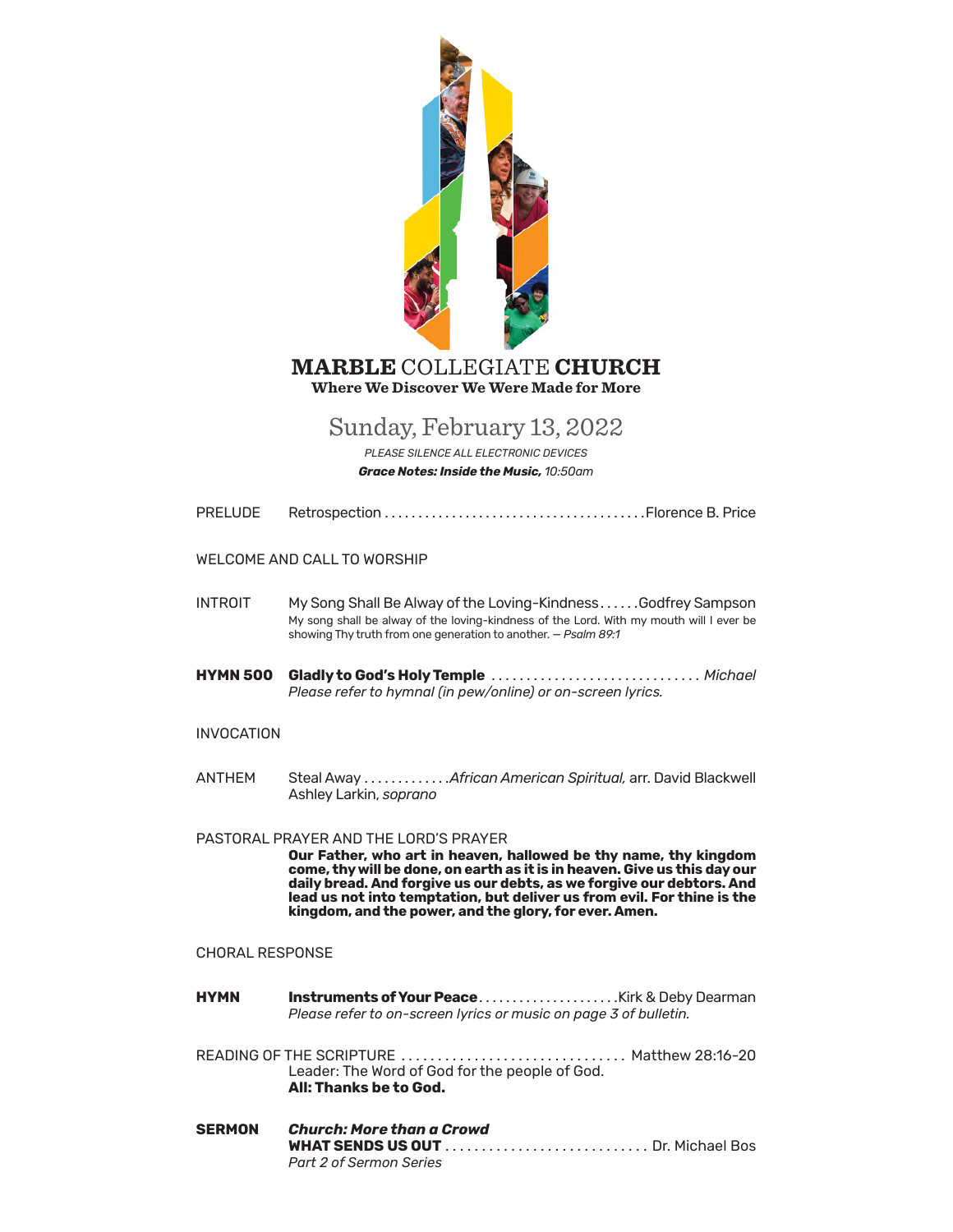

## **MARBLE COLLEGIATE CHURCH** Where We Discover We Were Made for More

# Sunday, February 13, 2022

PLEASE SILENCE ALL ELECTRONIC DEVICES **Grace Notes: Inside the Music, 10:50am** 

| PRELUDE |  |  |
|---------|--|--|
|---------|--|--|

### WELCOME AND CALL TO WORSHIP

**INTROIT** My Song Shall Be Alway of the Loving-Kindness......Godfrey Sampson My song shall be alway of the loving-kindness of the Lord. With my mouth will I ever be showing Thy truth from one generation to another. - Psalm 89:1

HYMN 500 Gladly to God's Holy Temple ................................... Michael Please refer to hymnal (in pew/online) or on-screen lyrics.

### **INVOCATION**

**ANTHFM** Steal Away ............ African American Spiritual, arr. David Blackwell Ashley Larkin, soprano

### PASTORAL PRAYER AND THE LORD'S PRAYER

Our Father, who art in heaven, hallowed be thy name, thy kingdom come, thy will be done, on earth as it is in heaven. Give us this day our daily bread. And forgive us our debts, as we forgive our debtors. And lead us not into temptation, but deliver us from evil. For thine is the kingdom, and the power, and the glory, for ever. Amen.

### **CHORAL RESPONSE**

**HYMN Instruments of Your Peace.....................Kirk & Deby Dearman** Please refer to on-screen lyrics or music on page 3 of bulletin.

READING OF THE SCRIPTURE .................................. Matthew 28:16-20 Leader: The Word of God for the people of God. All: Thanks be to God.

**SERMON Church: More than a Crowd** Part 2 of Sermon Series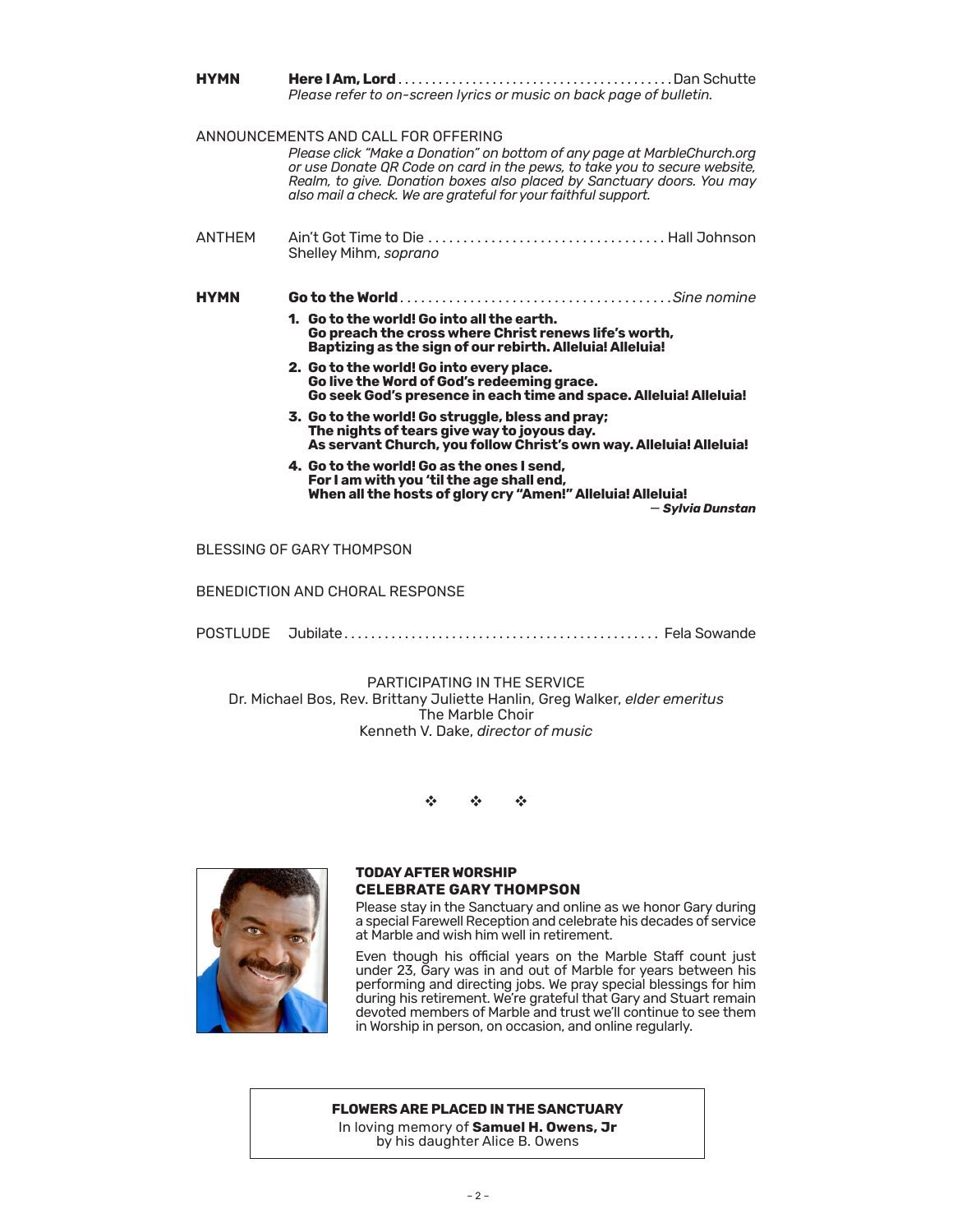| <b>HYMN</b>   | Please refer to on-screen lyrics or music on back page of bulletin.                                                                                                                                                                                                                                                                     |  |
|---------------|-----------------------------------------------------------------------------------------------------------------------------------------------------------------------------------------------------------------------------------------------------------------------------------------------------------------------------------------|--|
|               | ANNOUNCEMENTS AND CALL FOR OFFERING<br>Please click "Make a Donation" on bottom of any page at MarbleChurch.org<br>or use Donate QR Code on card in the pews, to take you to secure website,<br>Realm, to give. Donation boxes also placed by Sanctuary doors. You may<br>also mail a check. We are grateful for your faithful support. |  |
| <b>ANTHFM</b> | Shelley Mihm, soprano                                                                                                                                                                                                                                                                                                                   |  |
| <b>HYMN</b>   |                                                                                                                                                                                                                                                                                                                                         |  |
|               | 1. Go to the world! Go into all the earth.<br>Go preach the cross where Christ renews life's worth,<br>Baptizing as the sign of our rebirth. Alleluia! Alleluia!                                                                                                                                                                        |  |
|               | 2. Go to the world! Go into every place.<br>Go live the Word of God's redeeming grace.<br>Go seek God's presence in each time and space. Alleluia! Alleluia!                                                                                                                                                                            |  |
|               | 3. Go to the world! Go struggle, bless and pray;<br>The nights of tears give way to joyous day.<br>As servant Church, you follow Christ's own way. Alleluia! Alleluia!                                                                                                                                                                  |  |
|               | 4. Go to the world! Go as the ones I send.<br>For I am with you 'til the age shall end,<br>When all the hosts of glory cry "Amen!" Alleluia! Alleluia!<br>— Svlvia Dunstan                                                                                                                                                              |  |
|               | BLESSING OF GARY THOMPSON                                                                                                                                                                                                                                                                                                               |  |

BENEDICTION AND CHORAL RESPONSE

POSTLUDE Jubilate. . . Fela Sowande

PARTICIPATING IN THE SERVICE Dr. Michael Bos, Rev. Brittany Juliette Hanlin, Greg Walker, *elder emeritus* The Marble Choir Kenneth V. Dake, *director of music*

v v v



### **TODAY AFTER WORSHIP CELEBRATE GARY THOMPSON**

Please stay in the Sanctuary and online as we honor Gary during a special Farewell Reception and celebrate his decades of service at Marble and wish him well in retirement.

Even though his official years on the Marble Staff count just under 23, Gary was in and out of Marble for years between his performing and directing jobs. We pray special blessings for him during his retirement. We're grateful that Gary and Stuart remain devoted members of Marble and trust we'll continue to see them in Worship in person, on occasion, and online regularly.

### **FLOWERS ARE PLACED IN THE SANCTUARY**

In loving memory of **Samuel H. Owens, Jr** by his daughter Alice B. Owens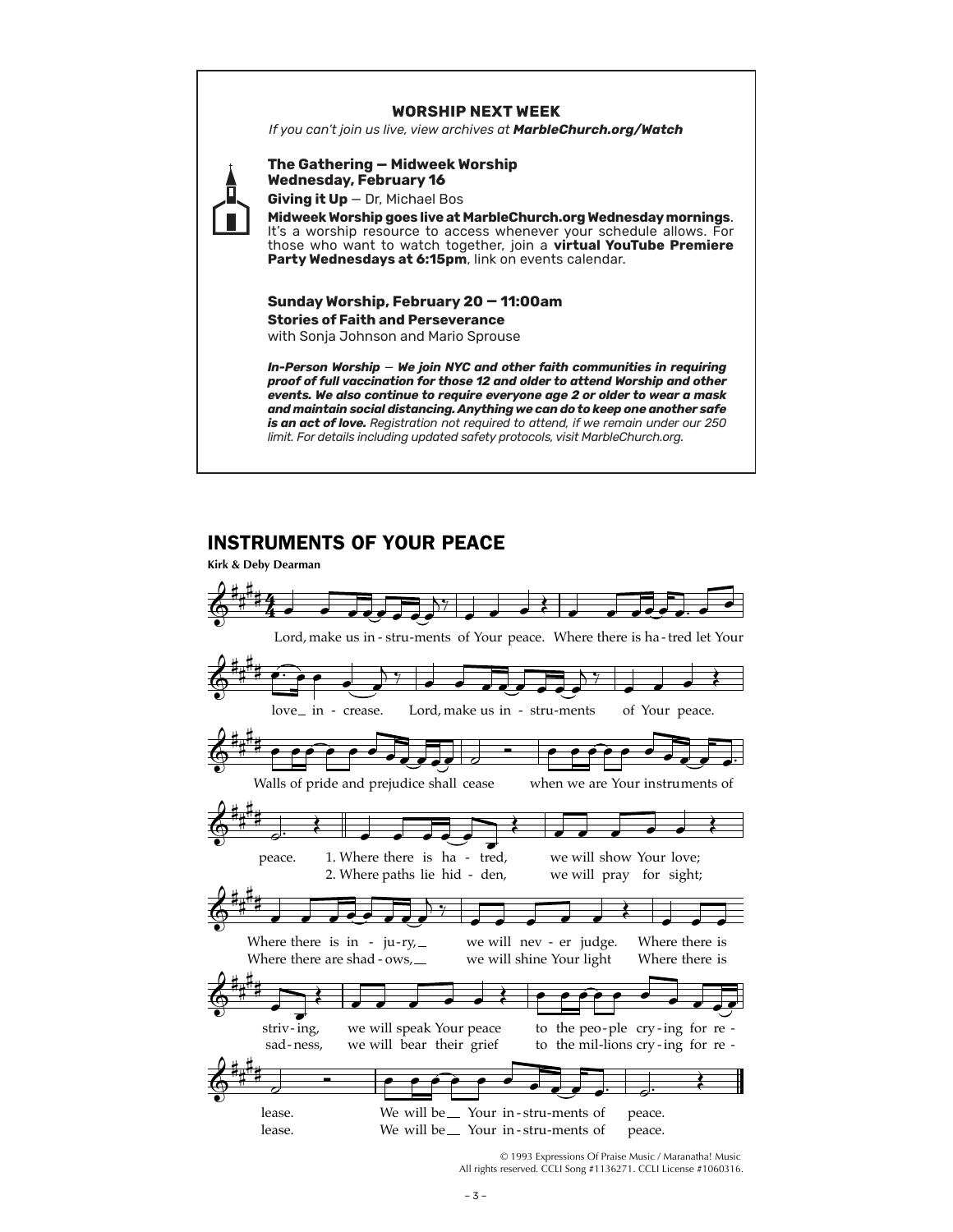### **WORSHIP NEXT WEEK**

*If you can't join us live, view archives at MarbleChurch.org/Watch*



**The Gathering — Midweek Worship Wednesday, February 16**

**Giving it Up** — Dr, Michael Bos

**Midweek Worship goes live at MarbleChurch.org Wednesday mornings**. It's a worship resource to access whenever your schedule allows. For those who want to watch together, join a **virtual YouTube Premiere**  Party Wednesdays at 6:15pm, link on events calendar.

## **Sunday Worship, February 20 — 11:00am Stories of Faith and Perseverance**

with Sonja Johnson and Mario Sprouse

*In-Person Worship* — *We join NYC and other faith communities in requiring proof of full vaccination for those 12 and older to attend Worship and other events. We also continue to require everyone age 2 or older to wear a mask and maintain social distancing. Anything we can do to keep one another safe is an act of love. Registration not required to attend, if we remain under our 250 limit. For details including updated safety protocols, visit MarbleChurch.org.*

## INSTRUMENTS OF YOUR PEACE



© 1993 Expressions Of Praise Music / Maranatha! Music All rights reserved. CCLI Song #1136271. CCLI License #1060316.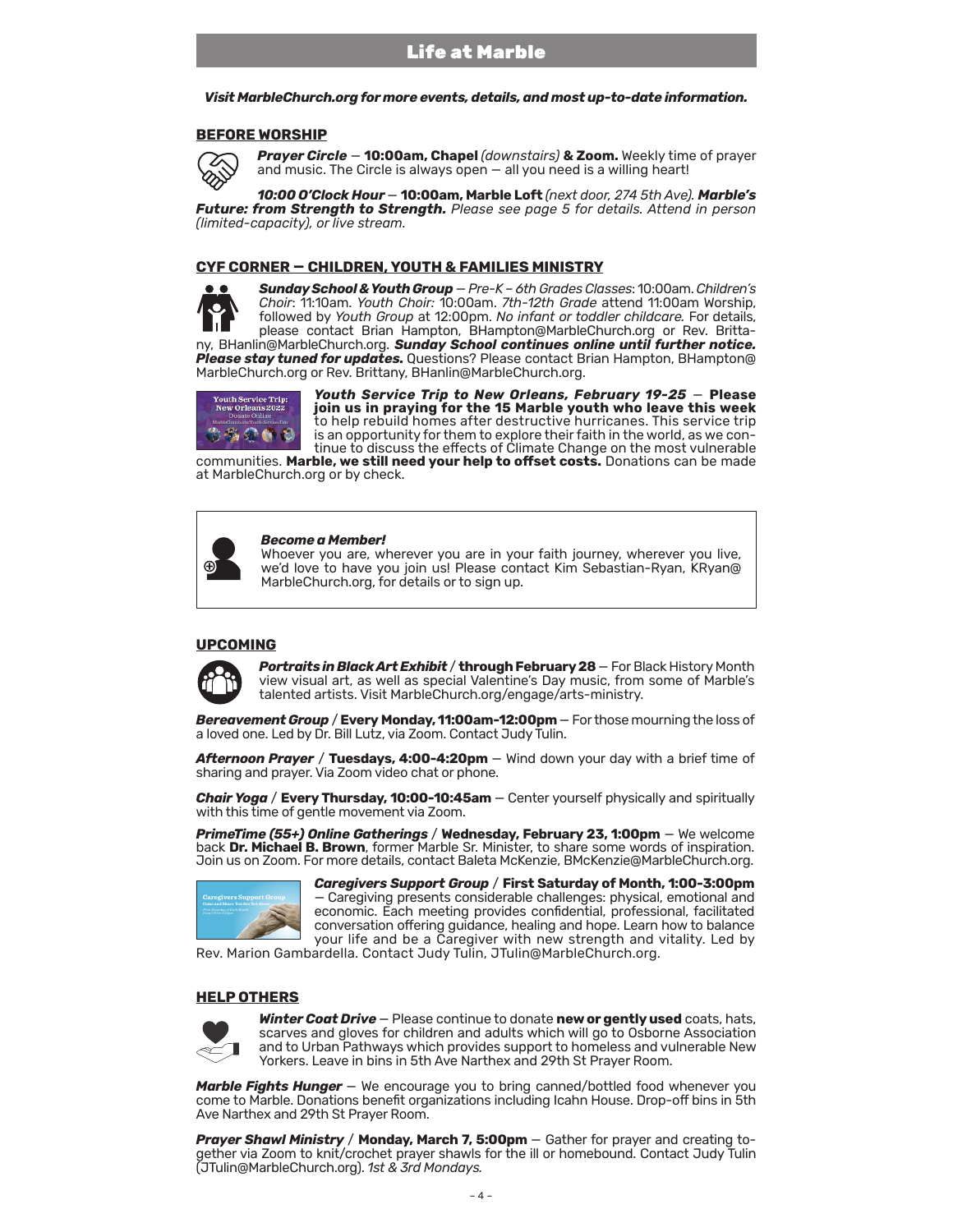*Visit MarbleChurch.org for more events, details, and most up-to-date information.* 

### **BEFORE WORSHIP**



*Prayer Circle* — **10:00am, Chapel** *(downstairs)* **& Zoom.** Weekly time of prayer and music. The Circle is always open — all you need is a willing heart!

*10:00 O'Clock Hour* — **10:00am, Marble Loft** *(next door, 274 5th Ave). Marble's Future: from Strength to Strength. Please see page 5 for details. Attend in person (limited-capacity), or live stream.*

### **CYF CORNER — CHILDREN, YOUTH & FAMILIES MINISTRY**



*Sunday School & Youth Group* — *Pre-K – 6th Grades Classes*: 10:00am.*Children's Choir*: 11:10am. *Youth Choir:* 10:00am. *7th-12th Grade* attend 11:00am Worship, followed by *Youth Group* at 12:00pm. *No infant or toddler childcare.* For details, please contact Brian Hampton, BHampton@MarbleChurch.org or Rev. Brittany, BHanlin@MarbleChurch.org. *Sunday School continues online until further notice.* 

*Please stay tuned for updates.* Questions? Please contact Brian Hampton, BHampton@ MarbleChurch.org or Rev. Brittany, BHanlin@MarbleChurch.org.



*Youth Service Trip to New Orleans, February 19-25* — **Please join us in praying for the 15 Marble youth who leave this week** to help rebuild homes after destructive hurricanes. This service trip inue to discuss the effects of Climate Change on the most vulnerable

communities. **Marble, we still need your help to offset costs.** Donations can be made at MarbleChurch.org or by check.



#### *Become a Member!*

Whoever you are, wherever you are in your faith journey, wherever you live, we'd love to have you join us! Please contact Kim Sebastian-Ryan, KRyan@ MarbleChurch.org, for details or to sign up.

### **UPCOMING**



**Portraits in Black Art Exhibit / through February 28** – For Black History Month view visual art, as well as special Valentine's Day music, from some of Marble's talented artists. Visit MarbleChurch.org/engage/arts-ministry.

*Bereavement Group* / **Every Monday, 11:00am-12:00pm** — For those mourning the loss of a loved one. Led by Dr. Bill Lutz, via Zoom. Contact Judy Tulin.

*Afternoon Prayer* / **Tuesdays, 4:00-4:20pm** — Wind down your day with a brief time of sharing and prayer. Via Zoom video chat or phone.

*Chair Yoga* / **Every Thursday, 10:00-10:45am** — Center yourself physically and spiritually with this time of gentle movement via Zoom.

*PrimeTime (55+) Online Gatherings* / **Wednesday, February 23, 1:00pm** — We welcome Join us on Zoom. For more details, contact Baleta McKenzie, BMcKenzie@MarbleChurch.org.



*Caregivers Support Group* / **First Saturday of Month, 1:00-3:00pm**  — Caregiving presents considerable challenges: physical, emotional and economic. Each meeting provides confidential, professional, facilitated conversation offering guidance, healing and hope. Learn how to balance your life and be a Caregiver with new strength and vitality. Led by

Rev. Marion Gambardella. Contact Judy Tulin, JTulin@MarbleChurch.org.

### **HELP OTHERS**



*Winter Coat Drive* — Please continue to donate **new or gently used** coats, hats, scarves and gloves for children and adults which will go to Osborne Association and to Urban Pathways which provides support to homeless and vulnerable New Yorkers. Leave in bins in 5th Ave Narthex and 29th St Prayer Room.

**Marble Fights Hunger** – We encourage you to bring canned/bottled food whenever you come to Marble. Donations benefit organizations including Icahn House. Drop-off bins in 5th Ave Narthex and 29th St Prayer Room.

*Prayer Shawl Ministry* / **Monday, March 7, 5:00pm** — Gather for prayer and creating together via Zoom to knit/crochet prayer shawls for the ill or homebound. Contact Judy Tulin (JTulin@MarbleChurch.org). *1st & 3rd Mondays.*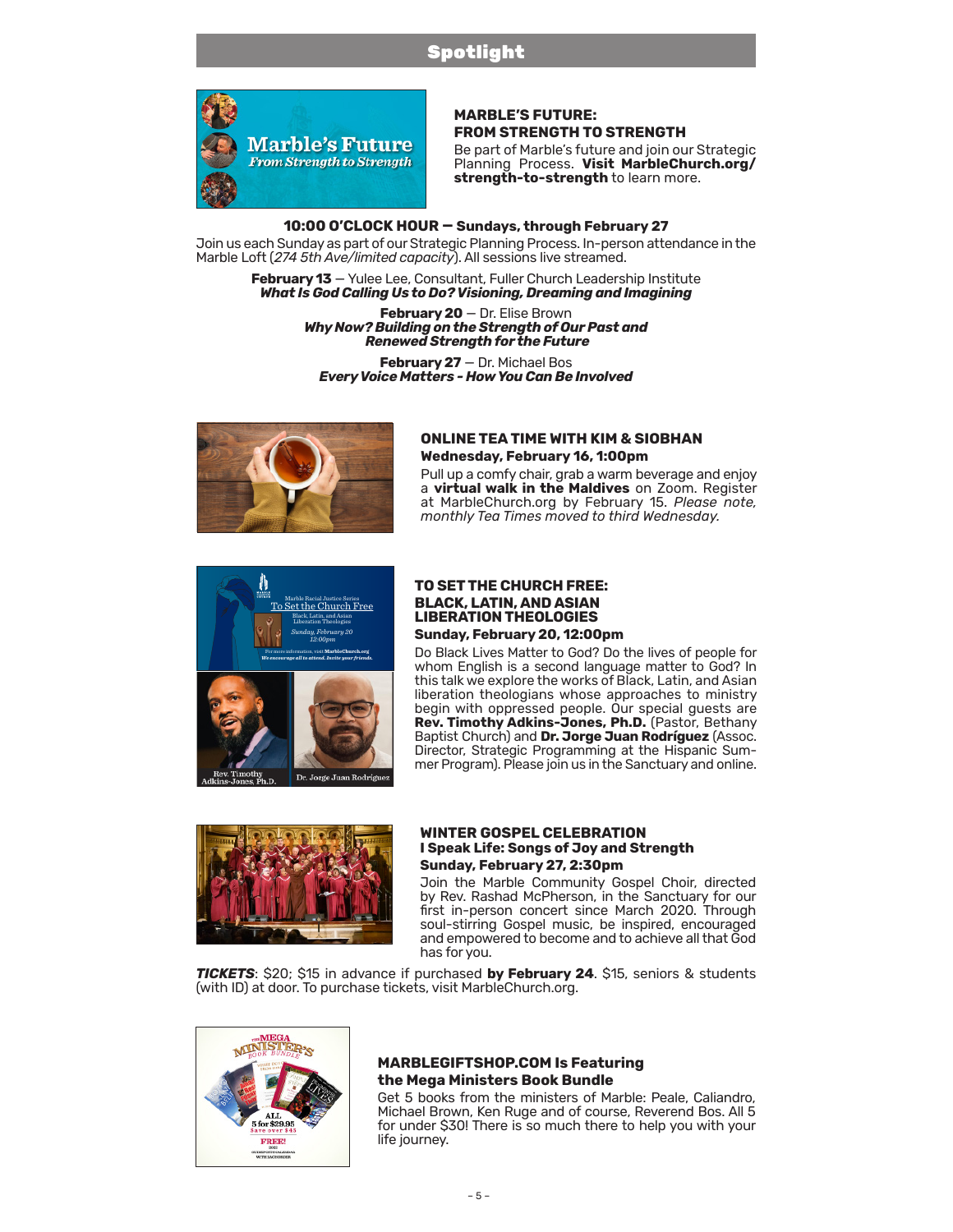## Spotlight



### **MARBLE'S FUTURE: FROM STRENGTH TO STRENGTH**

Be part of Marble's future and join our Strategic Planning Process. **Visit [MarbleChurch.org/](https://www.marblechurch.org/strength-to-strength) [strength-to-strength](https://www.marblechurch.org/strength-to-strength)** to learn more.

### **10:00 O'CLOCK HOUR — Sundays, through February 27**

Join us each Sunday as part of our Strategic Planning Process. In-person attendance in the Marble Loft (*274 5th Ave/limited capacity*). All sessions live streamed.

February 13 - Yulee Lee, Consultant, Fuller Church Leadership Institute *What Is God Calling Us to Do? Visioning, Dreaming and Imagining*

> **February 20** — Dr. Elise Brown *Why Now? Building on the Strength of Our Past and Renewed Strength for the Future*

**February 27** — Dr. Michael Bos *Every Voice Matters - How You Can Be Involved*



### **ONLINE TEA TIME WITH KIM & SIOBHAN Wednesday, February 16, 1:00pm**

Pull up a comfy chair, grab a warm beverage and enjoy a **virtual walk in the Maldives** on Zoom. Register at MarbleChurch.org by February 15. *Please note, monthly Tea Times moved to third Wednesday.* 



### **TO SET THE CHURCH FREE: BLACK, LATIN, AND ASIAN LIBERATION THEOLOGIES Sunday, February 20, 12:00pm**

Do Black Lives Matter to God? Do the lives of people for whom English is a second language matter to God? In this talk we explore the works of Black, Latin, and Asian liberation theologians whose approaches to ministry begin with oppressed people. Our special guests are **Rev. Timothy Adkins-Jones, Ph.D.** (Pastor, Bethany Baptist Church) and **Dr. Jorge Juan Rodríguez** (Assoc. Director, Strategic Programming at the Hispanic Summer Program). Please join us in the Sanctuary and online.



### **WINTER GOSPEL CELEBRATION I Speak Life: Songs of Joy and Strength Sunday, February 27, 2:30pm**

Join the Marble Community Gospel Choir, directed by Rev. Rashad McPherson, in the Sanctuary for our first in-person concert since March 2020. Through soul-stirring Gospel music, be inspired, encouraged and empowered to become and to achieve all that God has for you.

*TICKETS*: \$20; \$15 in advance if purchased **by February 24**. \$15, seniors & students (with ID) at door. To purchase tickets, visit MarbleChurch.org.



### **MARBLEGIFTSHOP.COM Is Featuring the Mega Ministers Book Bundle**

Get 5 books from the ministers of Marble: Peale, Caliandro, Michael Brown, Ken Ruge and of course, Reverend Bos. All 5 for under \$30! There is so much there to help you with your life journey.